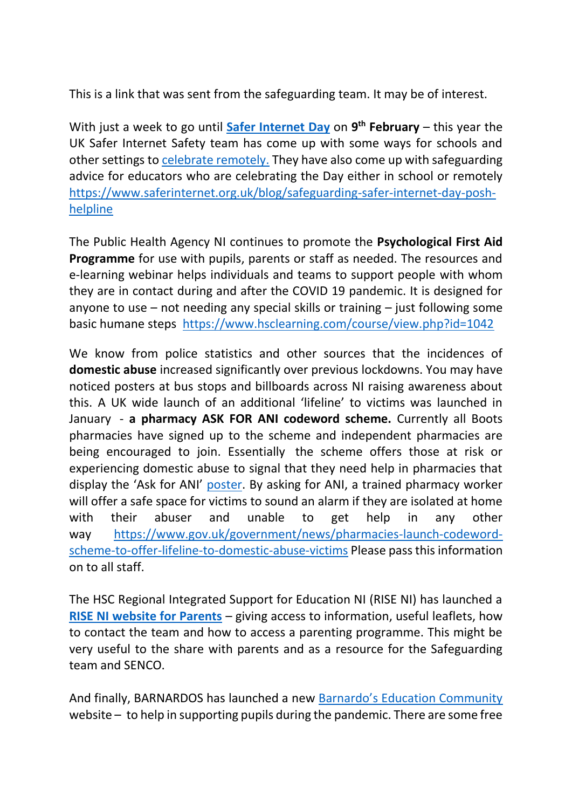This is a link that was sent from the safeguarding team. It may be of interest.

With just a week to go until **[Safer Internet Day](https://www.saferinternet.org.uk/safer-internet-day/2021)** on 9<sup>th</sup> February – this year the UK Safer Internet Safety team has come up with some ways for schools and other settings to [celebrate remotely.](https://www.saferinternet.org.uk/blog/safer-internet-day-2021-ways-schools-and-other-settings-celebrate-remotely) They have also come up with safeguarding advice for educators who are celebrating the Day either in school or remotely [https://www.saferinternet.org.uk/blog/safeguarding-safer-internet-day-posh](https://www.saferinternet.org.uk/blog/safeguarding-safer-internet-day-posh-helpline)[helpline](https://www.saferinternet.org.uk/blog/safeguarding-safer-internet-day-posh-helpline)

The Public Health Agency NI continues to promote the **Psychological First Aid Programme** for use with pupils, parents or staff as needed. The resources and e-learning webinar helps individuals and teams to support people with whom they are in contact during and after the COVID 19 pandemic. It is designed for anyone to use – not needing any special skills or training – just following some basic humane steps <https://www.hsclearning.com/course/view.php?id=1042>

We know from police statistics and other sources that the incidences of **domestic abuse** increased significantly over previous lockdowns. You may have noticed posters at bus stops and billboards across NI raising awareness about this. A UK wide launch of an additional 'lifeline' to victims was launched in January - **a pharmacy ASK FOR ANI codeword scheme.** Currently all Boots pharmacies have signed up to the scheme and independent pharmacies are being encouraged to join. Essentially the scheme offers those at risk or experiencing domestic abuse to signal that they need help in pharmacies that display the 'Ask for ANI' [poster.](https://assets.publishing.service.gov.uk/government/uploads/system/uploads/attachment_data/file/938127/Ask_for_ANI_window_poster.pdf) By asking for ANI, a trained pharmacy worker will offer a safe space for victims to sound an alarm if they are isolated at home with their abuser and unable to get help in any other way [https://www.gov.uk/government/news/pharmacies-launch-codeword](https://www.gov.uk/government/news/pharmacies-launch-codeword-scheme-to-offer-lifeline-to-domestic-abuse-victims)[scheme-to-offer-lifeline-to-domestic-abuse-victims](https://www.gov.uk/government/news/pharmacies-launch-codeword-scheme-to-offer-lifeline-to-domestic-abuse-victims) Please pass this information on to all staff.

The HSC Regional Integrated Support for Education NI (RISE NI) has launched a **[RISE NI website for Parents](https://view.pagetiger.com/RISENI/parents)** – giving access to information, useful leaflets, how to contact the team and how to access a parenting programme. This might be very useful to the share with parents and as a resource for the Safeguarding team and SENCO.

And finally, BARNARDOS has launched a new [Barnardo's Education Community](https://www.educators-barnardos.org.uk/) website – to help in supporting pupils during the pandemic. There are some free